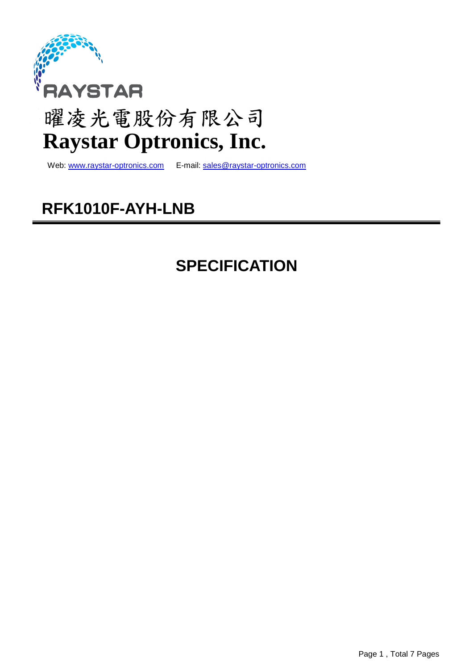

# 曜凌光電股份有限公司 **Raystar Optronics, Inc.**

Web: www.raystar-optronics.com E-mail: sales@raystar-optronics.com

# **RFK1010F-AYH-LNB**

# **SPECIFICATION**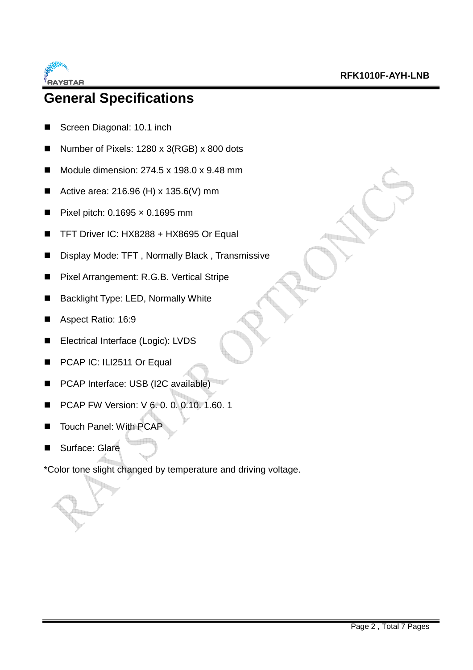

### **General Specifications**

- Screen Diagonal: 10.1 inch
- Number of Pixels: 1280 x 3(RGB) x 800 dots
- $\blacksquare$  Module dimension: 274.5 x 198.0 x 9.48 mm
- Active area: 216.96 (H) x 135.6(V) mm
- Pixel pitch:  $0.1695 \times 0.1695$  mm
- TFT Driver IC: HX8288 + HX8695 Or Equal
- Display Mode: TFT, Normally Black, Transmissive
- Pixel Arrangement: R.G.B. Vertical Stripe
- Backlight Type: LED, Normally White
- Aspect Ratio: 16:9
- Electrical Interface (Logic): LVDS
- PCAP IC: ILI2511 Or Equal
- **PCAP Interface: USB (I2C available)**
- PCAP FW Version: V 6. 0. 0. 0.10. 1.60. 1
- Touch Panel: With PCAP
- Surface: Glare

\*Color tone slight changed by temperature and driving voltage.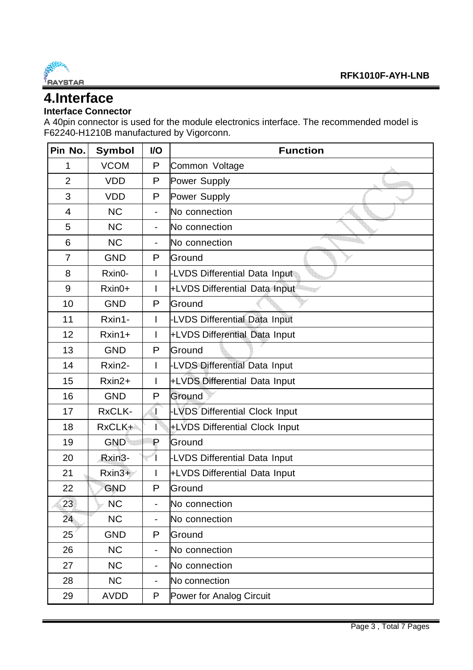

### **4.Interface**

#### **Interface Connector**

A 40pin connector is used for the module electronics interface. The recommended model is F62240-H1210B manufactured by Vigorconn.

| Pin No.        | <b>Symbol</b> | I/O            | <b>Function</b>                |
|----------------|---------------|----------------|--------------------------------|
| 1              | <b>VCOM</b>   | P              | Common Voltage                 |
| $\overline{2}$ | <b>VDD</b>    | P              | Power Supply                   |
| 3              | <b>VDD</b>    | P              | Power Supply                   |
| 4              | <b>NC</b>     | $\blacksquare$ | No connection                  |
| 5              | <b>NC</b>     | $\blacksquare$ | No connection                  |
| 6              | <b>NC</b>     | $\blacksquare$ | No connection                  |
| $\overline{7}$ | <b>GND</b>    | P              | Ground                         |
| 8              | Rxin0-        | I              | -LVDS Differential Data Input  |
| 9              | Rxin0+        |                | +LVDS Differential Data Input  |
| 10             | <b>GND</b>    | P              | Ground                         |
| 11             | Rxin1-        | L              | -LVDS Differential Data Input  |
| 12             | $Rxin1+$      | L              | +LVDS Differential Data Input  |
| 13             | <b>GND</b>    | P              | Ground                         |
| 14             | Rxin2-        | L              | -LVDS Differential Data Input  |
| 15             | Rxin2+        | I              | +LVDS Differential Data Input  |
| 16             | <b>GND</b>    | P              | Ground                         |
| 17             | RxCLK-        | T              | -LVDS Differential Clock Input |
| 18             | RxCLK+        |                | +LVDS Differential Clock Input |
| 19             | <b>GND</b>    | P              | Ground                         |
| 20             | Rxin3-        |                | -LVDS Differential Data Input  |
| 21             | $Rxin3+$      |                | +LVDS Differential Data Input  |
| 22             | <b>GND</b>    | P              | Ground                         |
| 23             | <b>NC</b>     | -              | No connection                  |
| 24             | <b>NC</b>     |                | No connection                  |
| 25             | <b>GND</b>    | P              | Ground                         |
| 26             | <b>NC</b>     | Ξ.             | No connection                  |
| 27             | <b>NC</b>     | $\blacksquare$ | No connection                  |
| 28             | <b>NC</b>     | $\blacksquare$ | No connection                  |
| 29             | <b>AVDD</b>   | P              | Power for Analog Circuit       |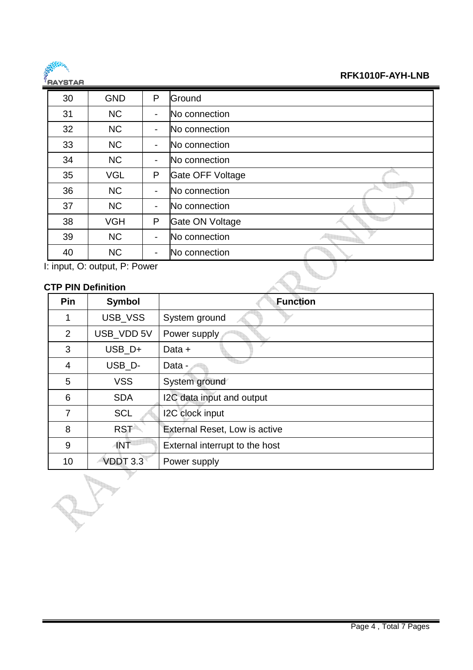

#### **RFK1010F-AYH-LNB**

| 5819185 |                                           |                |                  |
|---------|-------------------------------------------|----------------|------------------|
| 30      | <b>GND</b>                                | P              | Ground           |
| 31      | <b>NC</b>                                 | $\blacksquare$ | No connection    |
| 32      | <b>NC</b>                                 |                | No connection    |
| 33      | <b>NC</b>                                 | $\blacksquare$ | No connection    |
| 34      | <b>NC</b>                                 | $\blacksquare$ | No connection    |
| 35      | <b>VGL</b>                                | P              | Gate OFF Voltage |
| 36      | <b>NC</b>                                 | $\blacksquare$ | No connection    |
| 37      | <b>NC</b>                                 | $\blacksquare$ | No connection    |
| 38      | <b>VGH</b>                                | P              | Gate ON Voltage  |
| 39      | <b>NC</b>                                 | ۰              | No connection    |
| 40      | <b>NC</b>                                 | -              | No connection    |
|         | $\vdash$ innut $\bigcap$ output $D$ Dower |                |                  |

I: input, O: output, P: Power

#### **CTP PIN Definition**

de l'Imp

| Pin            | <b>Symbol</b> | <b>Function</b>                |
|----------------|---------------|--------------------------------|
| 1              | USB_VSS       | System ground                  |
| 2              | USB_VDD 5V    | Power supply                   |
| 3              | USB_D+        | Data +                         |
| 4              | USB_D-        | Data -                         |
| 5              | <b>VSS</b>    | System ground                  |
| 6              | <b>SDA</b>    | I2C data input and output      |
| $\overline{7}$ | <b>SCL</b>    | I2C clock input                |
| 8              | <b>RST</b>    | External Reset, Low is active  |
| 9              | ANT           | External interrupt to the host |
| 10             | VDDT 3.3      | Power supply                   |
|                |               |                                |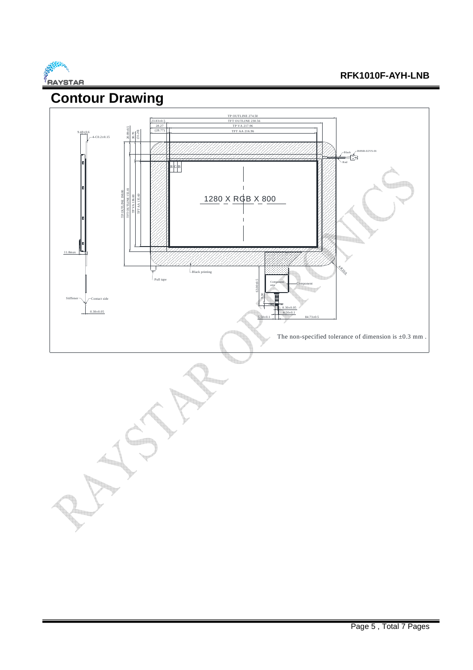

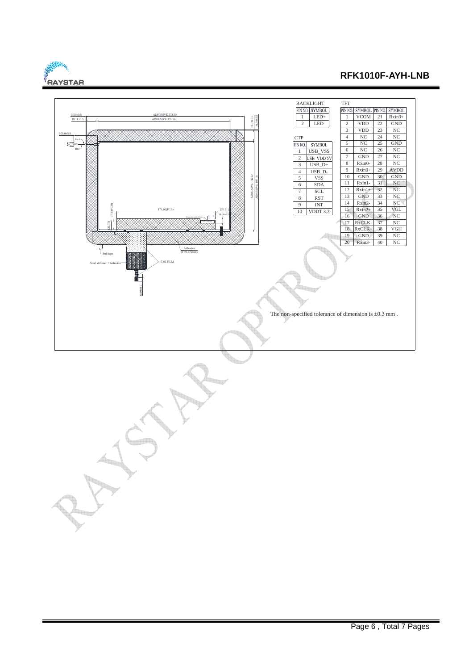